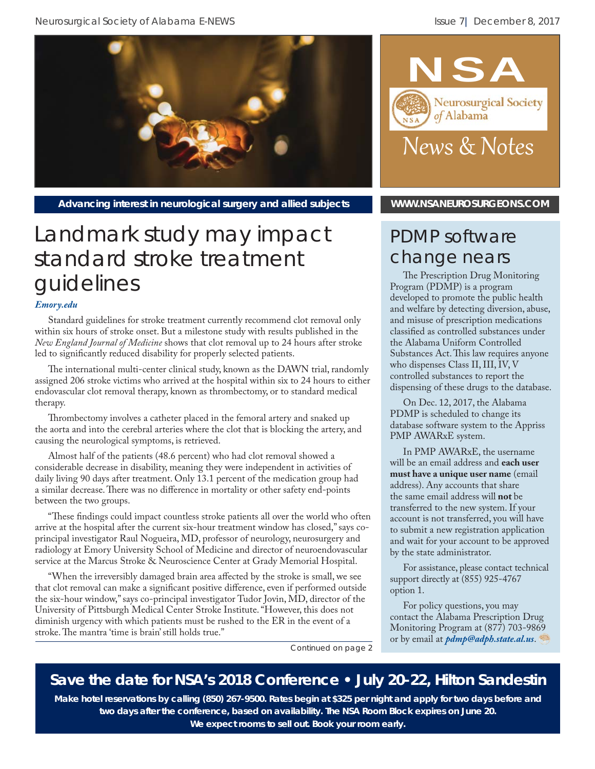

Advancing interest in neurological surgery and allied subjects **[WWW.NSANEUROSURGEONS.COM](http://nsaneurosurgeons.com)** 

# Landmark study may impact standard stroke treatment guidelines

#### *[Emory.edu](http://news.emory.edu/stories/2017/11/dawn_stroke_trial/index.html)*

Standard guidelines for stroke treatment currently recommend clot removal only within six hours of stroke onset. But a milestone study with results published in the *New England Journal of Medicine* shows that clot removal up to 24 hours after stroke led to significantly reduced disability for properly selected patients.

The international multi-center clinical study, known as the DAWN trial, randomly assigned 206 stroke victims who arrived at the hospital within six to 24 hours to either endovascular clot removal therapy, known as thrombectomy, or to standard medical therapy.

Thrombectomy involves a catheter placed in the femoral artery and snaked up the aorta and into the cerebral arteries where the clot that is blocking the artery, and causing the neurological symptoms, is retrieved.

Almost half of the patients (48.6 percent) who had clot removal showed a considerable decrease in disability, meaning they were independent in activities of daily living 90 days after treatment. Only 13.1 percent of the medication group had a similar decrease. There was no difference in mortality or other safety end-points between the two groups.

"These findings could impact countless stroke patients all over the world who often arrive at the hospital after the current six-hour treatment window has closed," says coprincipal investigator Raul Nogueira, MD, professor of neurology, neurosurgery and radiology at Emory University School of Medicine and director of neuroendovascular service at the Marcus Stroke & Neuroscience Center at Grady Memorial Hospital.

"When the irreversibly damaged brain area affected by the stroke is small, we see that clot removal can make a significant positive difference, even if performed outside the six-hour window," says co-principal investigator Tudor Jovin, MD, director of the University of Pittsburgh Medical Center Stroke Institute. "However, this does not diminish urgency with which patients must be rushed to the ER in the event of a stroke. The mantra 'time is brain' still holds true."



## PDMP software change nears

The Prescription Drug Monitoring Program (PDMP) is a program developed to promote the public health and welfare by detecting diversion, abuse, and misuse of prescription medications classified as controlled substances under the Alabama Uniform Controlled Substances Act. This law requires anyone who dispenses Class II, III, IV, V controlled substances to report the dispensing of these drugs to the database.

On Dec. 12, 2017, the Alabama PDMP is scheduled to change its database software system to the Appriss PMP AWARxE system.

In PMP AWARxE, the username will be an email address and **each user must have a unique user name** (email address). Any accounts that share the same email address will **not** be transferred to the new system. If your account is not transferred, you will have to submit a new registration application and wait for your account to be approved by the state administrator.

For assistance, please contact technical support directly at (855) 925-4767 option 1.

For policy questions, you may contact the Alabama Prescription Drug Monitoring Program at (877) 703-9869 or by email at *pdmp@adph.state.al.us*.

*Continued on page 2*

## **Save the date for NSA's 2018 Conference • July 20-22, Hilton Sandestin**

**Make hotel reservations by calling (850) 267-9500. Rates begin at \$325 per night and apply for two days before and two days after the conference, based on availability. The NSA Room Block expires on June 20. We expect rooms to sell out. Book your room early.**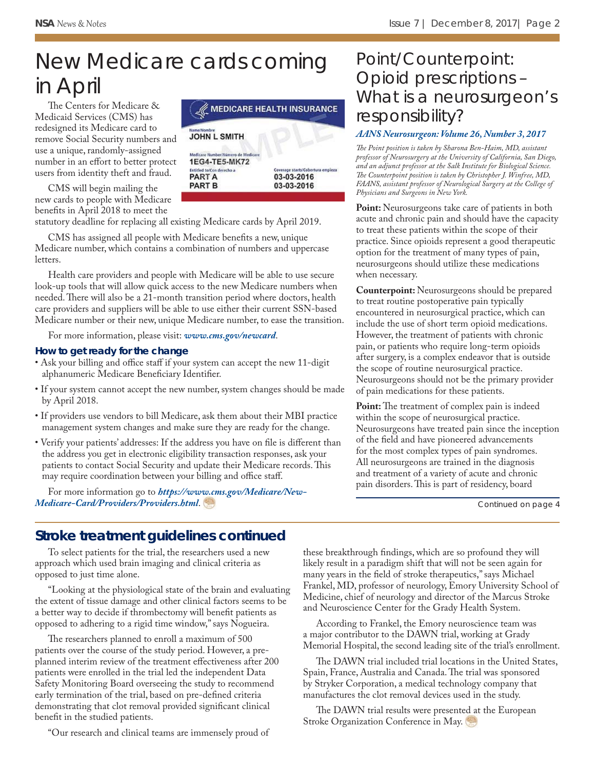# New Medicare cards coming in April

The Centers for Medicare & Medicaid Services (CMS) has redesigned its Medicare card to remove Social Security numbers and use a unique, randomly-assigned number in an effort to better protect users from identity theft and fraud.

CMS will begin mailing the new cards to people with Medicare benefits in April 2018 to meet the

statutory deadline for replacing all existing Medicare cards by April 2019.

CMS has assigned all people with Medicare benefits a new, unique Medicare number, which contains a combination of numbers and uppercase letters.

Health care providers and people with Medicare will be able to use secure look-up tools that will allow quick access to the new Medicare numbers when needed. There will also be a 21-month transition period where doctors, health care providers and suppliers will be able to use either their current SSN-based Medicare number or their new, unique Medicare number, to ease the transition.

For more information, please visit: *[www.cms.gov/newcard](https://www.cms.gov/medicare/new-medicare-card/nmc-home.html)*.

#### **How to get ready for the change**

- Ask your billing and office staff if your system can accept the new 11-digit alphanumeric Medicare Beneficiary Identifier.
- If your system cannot accept the new number, system changes should be made by April 2018.
- If providers use vendors to bill Medicare, ask them about their MBI practice management system changes and make sure they are ready for the change.
- Verify your patients' addresses: If the address you have on file is different than the address you get in electronic eligibility transaction responses, ask your patients to contact Social Security and update their Medicare records. This may require coordination between your billing and office staff.

For more information go to *https://www.cms.gov/Medicare/New-[Medicare-Card/Providers/Providers.html](https://www.cms.gov/Medicare/New-Medicare-Card/Providers/Providers.html)*.



## Point/Counterpoint: Opioid prescriptions – What is a neurosurgeon's responsibility?

#### *[AANS Neurosurgeon: Volume 26, Number 3, 2017](http://aansneurosurgeon.org/features/pointcounterpoint-opioid-prescriptions-neurosurgeons-responsibility/)*

The Point position is taken by Sharona Ben-Haim, MD, assistant *professor of Neurosurgery at the University of California, San Diego, and an adjunct professor at the Salk Institute for Biological Science.*  The Counterpoint position is taken by Christopher J. Winfree, MD, *FAANS, assistant professor of Neurological Surgery at the College of Physicians and Surgeons in New York.*

Point: Neurosurgeons take care of patients in both acute and chronic pain and should have the capacity to treat these patients within the scope of their practice. Since opioids represent a good therapeutic option for the treatment of many types of pain, neurosurgeons should utilize these medications when necessary.

**Counterpoint:** Neurosurgeons should be prepared to treat routine postoperative pain typically encountered in neurosurgical practice, which can include the use of short term opioid medications. However, the treatment of patients with chronic pain, or patients who require long-term opioids after surgery, is a complex endeavor that is outside the scope of routine neurosurgical practice. Neurosurgeons should not be the primary provider of pain medications for these patients.

Point: The treatment of complex pain is indeed within the scope of neurosurgical practice. Neurosurgeons have treated pain since the inception of the field and have pioneered advancements for the most complex types of pain syndromes. All neurosurgeons are trained in the diagnosis and treatment of a variety of acute and chronic pain disorders. This is part of residency, board

*Continued on page 4*

#### **Stroke treatment guidelines continued**

To select patients for the trial, the researchers used a new approach which used brain imaging and clinical criteria as opposed to just time alone.

"Looking at the physiological state of the brain and evaluating the extent of tissue damage and other clinical factors seems to be a better way to decide if thrombectomy will benefit patients as opposed to adhering to a rigid time window," says Nogueira.

The researchers planned to enroll a maximum of 500 patients over the course of the study period. However, a preplanned interim review of the treatment effectiveness after 200 patients were enrolled in the trial led the independent Data Safety Monitoring Board overseeing the study to recommend early termination of the trial, based on pre-defined criteria demonstrating that clot removal provided significant clinical benefit in the studied patients.

"Our research and clinical teams are immensely proud of

these breakthrough findings, which are so profound they will likely result in a paradigm shift that will not be seen again for many years in the field of stroke therapeutics," says Michael Frankel, MD, professor of neurology, Emory University School of Medicine, chief of neurology and director of the Marcus Stroke and Neuroscience Center for the Grady Health System.

According to Frankel, the Emory neuroscience team was a major contributor to the DAWN trial, working at Grady Memorial Hospital, the second leading site of the trial's enrollment.

The DAWN trial included trial locations in the United States, Spain, France, Australia and Canada. The trial was sponsored by Stryker Corporation, a medical technology company that manufactures the clot removal devices used in the study.

The DAWN trial results were presented at the European Stroke Organization Conference in May.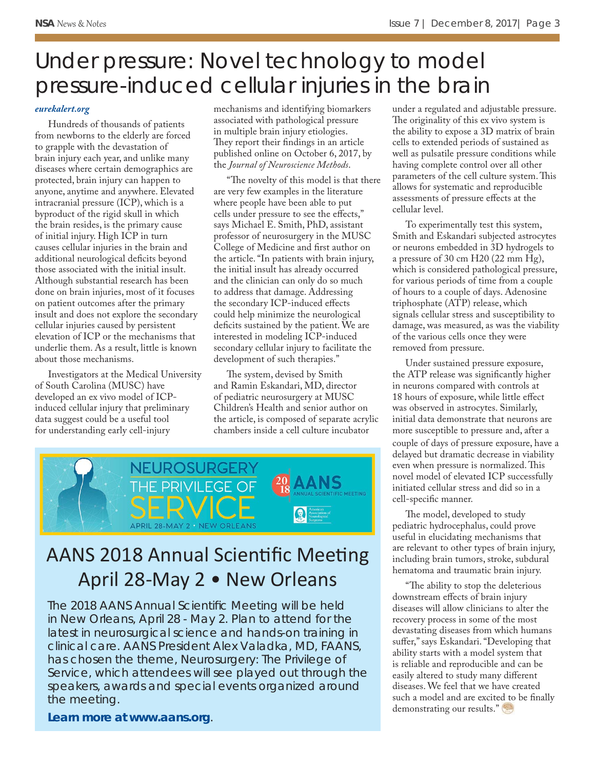# Under pressure: Novel technology to model pressure-induced cellular injuries in the brain

#### *[eurekalert.org](https://www.eurekalert.org/pub_releases/2017-12/muos-upn120117.php)*

Hundreds of thousands of patients from newborns to the elderly are forced to grapple with the devastation of brain injury each year, and unlike many diseases where certain demographics are protected, brain injury can happen to anyone, anytime and anywhere. Elevated intracranial pressure (ICP), which is a byproduct of the rigid skull in which the brain resides, is the primary cause of initial injury. High ICP in turn causes cellular injuries in the brain and additional neurological deficits beyond those associated with the initial insult. Although substantial research has been done on brain injuries, most of it focuses on patient outcomes after the primary insult and does not explore the secondary cellular injuries caused by persistent elevation of ICP or the mechanisms that underlie them. As a result, little is known about those mechanisms.

Investigators at the Medical University of South Carolina (MUSC) have developed an ex vivo model of ICPinduced cellular injury that preliminary data suggest could be a useful tool for understanding early cell-injury

mechanisms and identifying biomarkers associated with pathological pressure in multiple brain injury etiologies. They report their findings in an article published online on October 6, 2017, by the *Journal of Neuroscience Methods*.

"The novelty of this model is that there are very few examples in the literature where people have been able to put cells under pressure to see the effects," says Michael E. Smith, PhD, assistant professor of neurosurgery in the MUSC College of Medicine and first author on the article. "In patients with brain injury, the initial insult has already occurred and the clinician can only do so much to address that damage. Addressing the secondary ICP-induced effects could help minimize the neurological deficits sustained by the patient. We are interested in modeling ICP-induced secondary cellular injury to facilitate the development of such therapies."

The system, devised by Smith and Ramin Eskandari, MD, director of pediatric neurosurgery at MUSC Children's Health and senior author on the article, is composed of separate acrylic chambers inside a cell culture incubator



# AANS 2018 Annual Scientific Meeting April 28-May 2 • New Orleans

The 2018 AANS Annual Scientific Meeting will be held in New Orleans, April 28 - May 2. Plan to attend for the latest in neurosurgical science and hands-on training in clinical care. AANS President Alex Valadka, MD, FAANS, has chosen the theme, *Neurosurgery: The Privilege of Service*, which attendees will see played out through the speakers, awards and special events organized around the meeting.

*Learn more a[t www.aans.org](http://www.aans.org/en/Annual-Scientific-Meeting/2018/)*.

under a regulated and adjustable pressure. The originality of this ex vivo system is the ability to expose a 3D matrix of brain cells to extended periods of sustained as well as pulsatile pressure conditions while having complete control over all other parameters of the cell culture system. This allows for systematic and reproducible assessments of pressure effects at the cellular level.

To experimentally test this system, Smith and Eskandari subjected astrocytes or neurons embedded in 3D hydrogels to a pressure of 30 cm H20 (22 mm Hg), which is considered pathological pressure, for various periods of time from a couple of hours to a couple of days. Adenosine triphosphate (ATP) release, which signals cellular stress and susceptibility to damage, was measured, as was the viability of the various cells once they were removed from pressure.

Under sustained pressure exposure, the ATP release was significantly higher in neurons compared with controls at 18 hours of exposure, while little effect was observed in astrocytes. Similarly, initial data demonstrate that neurons are more susceptible to pressure and, after a couple of days of pressure exposure, have a delayed but dramatic decrease in viability even when pressure is normalized. This novel model of elevated ICP successfully initiated cellular stress and did so in a cell-specific manner.

The model, developed to study pediatric hydrocephalus, could prove useful in elucidating mechanisms that are relevant to other types of brain injury, including brain tumors, stroke, subdural hematoma and traumatic brain injury.

"The ability to stop the deleterious downstream effects of brain injury diseases will allow clinicians to alter the recovery process in some of the most devastating diseases from which humans suffer," says Eskandari. "Developing that ability starts with a model system that is reliable and reproducible and can be easily altered to study many different diseases. We feel that we have created such a model and are excited to be finally demonstrating our results."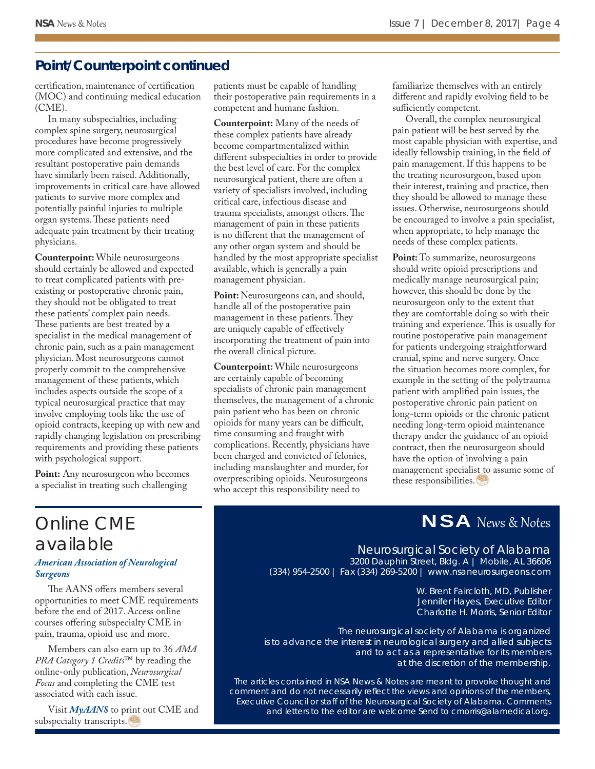#### **Point/Counterpoint continued**

certification, maintenance of certification (MOC) and continuing medical education (CME).

In many subspecialties, including complex spine surgery, neurosurgical procedures have become progressively more complicated and extensive, and the resultant postoperative pain demands have similarly been raised. Additionally, improvements in critical care have allowed patients to survive more complex and potentially painful injuries to multiple organ systems. These patients need adequate pain treatment by their treating physicians.

**Counterpoint:** While neurosurgeons should certainly be allowed and expected to treat complicated patients with preexisting or postoperative chronic pain, they should not be obligated to treat these patients' complex pain needs. These patients are best treated by a specialist in the medical management of chronic pain, such as a pain management physician. Most neurosurgeons cannot properly commit to the comprehensive management of these patients, which includes aspects outside the scope of a typical neurosurgical practice that may involve employing tools like the use of opioid contracts, keeping up with new and rapidly changing legislation on prescribing requirements and providing these patients with psychological support.

**Point:** Any neurosurgeon who becomes a specialist in treating such challenging

patients must be capable of handling their postoperative pain requirements in a competent and humane fashion.

**Counterpoint:** Many of the needs of these complex patients have already become compartmentalized within different subspecialties in order to provide the best level of care. For the complex neurosurgical patient, there are often a variety of specialists involved, including critical care, infectious disease and trauma specialists, amongst others. The management of pain in these patients is no different that the management of any other organ system and should be handled by the most appropriate specialist available, which is generally a pain management physician.

Point: Neurosurgeons can, and should, handle all of the postoperative pain management in these patients. They are uniquely capable of effectively incorporating the treatment of pain into the overall clinical picture.

**Counterpoint:** While neurosurgeons are certainly capable of becoming specialists of chronic pain management themselves, the management of a chronic pain patient who has been on chronic opioids for many years can be difficult, time consuming and fraught with complications. Recently, physicians have been charged and convicted of felonies, including manslaughter and murder, for overprescribing opioids. Neurosurgeons who accept this responsibility need to

familiarize themselves with an entirely different and rapidly evolving field to be sufficiently competent.

Overall, the complex neurosurgical pain patient will be best served by the most capable physician with expertise, and ideally fellowship training, in the field of pain management. If this happens to be the treating neurosurgeon, based upon their interest, training and practice, then they should be allowed to manage these issues. Otherwise, neurosurgeons should be encouraged to involve a pain specialist, when appropriate, to help manage the needs of these complex patients.

Point: To summarize, neurosurgeons should write opioid prescriptions and medically manage neurosurgical pain; however, this should be done by the neurosurgeon only to the extent that they are comfortable doing so with their training and experience. This is usually for routine postoperative pain management for patients undergoing straightforward cranial, spine and nerve surgery. Once the situation becomes more complex, for example in the setting of the polytrauma patient with amplified pain issues, the postoperative chronic pain patient on long-term opioids or the chronic patient needing long-term opioid maintenance therapy under the guidance of an opioid contract, then the neurosurgeon should have the option of involving a pain management specialist to assume some of these responsibilities.

## NSA News & Notes

# Online CME available

#### *[American Association of Neurological](http://www.aans.org/AANS-E-News/November-2017/Meet-Your-Year-end-CME-Requirements-Online)  Surgeons*

The AANS offers members several opportunities to meet CME requirements before the end of 2017. Access online courses offering subspecialty CME in pain, trauma, opioid use and more.

Members can also earn up to 36 *AMA PRA Category 1 Credits*™ by reading the online-only publication, *Neurosurgical Focus* and completing the CME test associated with each issue.

Visit *MyAANS* to print out CME and subspecialty transcripts.

Neurosurgical Society of Alabama

3200 Dauphin Street, Bldg. A | Mobile, AL 36606 (334) 954-2500 | Fax (334) 269-5200 | www.nsaneurosurgeons.com

> W. Brent Faircloth, MD, Publisher Jennifer Hayes, Executive Editor Charlotte H. Morris, Senior Editor

*The neurosurgical society of Alabama is organized is to advance the interest in neurological surgery and allied subjects and to act as a representative for its members at the discretion of the membership.*

*The articles contained in NSA News & Notes are meant to provoke thought and comment and do not necessarily refl ect the views and opinions of the members, Executive Council or staff of the Neurosurgical Society of Alabama. Comments and letters to the editor are welcome Send to cmorris@alamedical.org.*